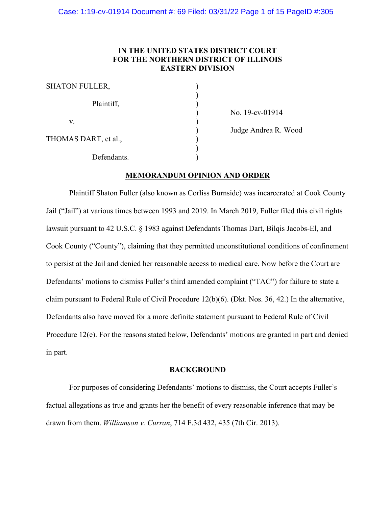# **IN THE UNITED STATES DISTRICT COURT FOR THE NORTHERN DISTRICT OF ILLINOIS EASTERN DIVISION**

| <b>SHATON FULLER,</b> |  |
|-----------------------|--|
| Plaintiff,            |  |
| V.                    |  |
| THOMAS DART, et al.,  |  |
| Defendants.           |  |

) No. 19-cv-01914 ) Judge Andrea R. Wood

# **MEMORANDUM OPINION AND ORDER**

Plaintiff Shaton Fuller (also known as Corliss Burnside) was incarcerated at Cook County Jail ("Jail") at various times between 1993 and 2019. In March 2019, Fuller filed this civil rights lawsuit pursuant to 42 U.S.C. § 1983 against Defendants Thomas Dart, Bilqis Jacobs-El, and Cook County ("County"), claiming that they permitted unconstitutional conditions of confinement to persist at the Jail and denied her reasonable access to medical care. Now before the Court are Defendants' motions to dismiss Fuller's third amended complaint ("TAC") for failure to state a claim pursuant to Federal Rule of Civil Procedure 12(b)(6). (Dkt. Nos. 36, 42.) In the alternative, Defendants also have moved for a more definite statement pursuant to Federal Rule of Civil Procedure 12(e). For the reasons stated below, Defendants' motions are granted in part and denied in part.

# **BACKGROUND**

For purposes of considering Defendants' motions to dismiss, the Court accepts Fuller's factual allegations as true and grants her the benefit of every reasonable inference that may be drawn from them. *Williamson v. Curran*, 714 F.3d 432, 435 (7th Cir. 2013).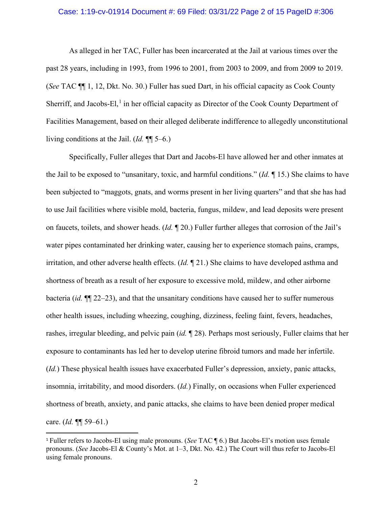# Case: 1:19-cv-01914 Document #: 69 Filed: 03/31/22 Page 2 of 15 PageID #:306

As alleged in her TAC, Fuller has been incarcerated at the Jail at various times over the past 28 years, including in 1993, from 1996 to 2001, from 2003 to 2009, and from 2009 to 2019. (*See* TAC ¶¶ 1, 12, Dkt. No. 30.) Fuller has sued Dart, in his official capacity as Cook County Sherriff, and Jacobs-El,<sup>[1](#page-1-0)</sup> in her official capacity as Director of the Cook County Department of Facilities Management, based on their alleged deliberate indifference to allegedly unconstitutional living conditions at the Jail. (*Id.* ¶¶ 5–6.)

Specifically, Fuller alleges that Dart and Jacobs-El have allowed her and other inmates at the Jail to be exposed to "unsanitary, toxic, and harmful conditions." (*Id.* ¶ 15.) She claims to have been subjected to "maggots, gnats, and worms present in her living quarters" and that she has had to use Jail facilities where visible mold, bacteria, fungus, mildew, and lead deposits were present on faucets, toilets, and shower heads. (*Id.* ¶ 20.) Fuller further alleges that corrosion of the Jail's water pipes contaminated her drinking water, causing her to experience stomach pains, cramps, irritation, and other adverse health effects. (*Id.* ¶ 21.) She claims to have developed asthma and shortness of breath as a result of her exposure to excessive mold, mildew, and other airborne bacteria (*id.* ¶¶ 22–23), and that the unsanitary conditions have caused her to suffer numerous other health issues, including wheezing, coughing, dizziness, feeling faint, fevers, headaches, rashes, irregular bleeding, and pelvic pain (*id.* ¶ 28). Perhaps most seriously, Fuller claims that her exposure to contaminants has led her to develop uterine fibroid tumors and made her infertile. (*Id.*) These physical health issues have exacerbated Fuller's depression, anxiety, panic attacks, insomnia, irritability, and mood disorders. (*Id.*) Finally, on occasions when Fuller experienced shortness of breath, anxiety, and panic attacks, she claims to have been denied proper medical care. (*Id.* ¶¶ 59–61.)

<span id="page-1-0"></span><sup>1</sup> Fuller refers to Jacobs-El using male pronouns. (*See* TAC ¶ 6.) But Jacobs-El's motion uses female pronouns. (*See* Jacobs-El & County's Mot. at 1–3, Dkt. No. 42.) The Court will thus refer to Jacobs-El using female pronouns.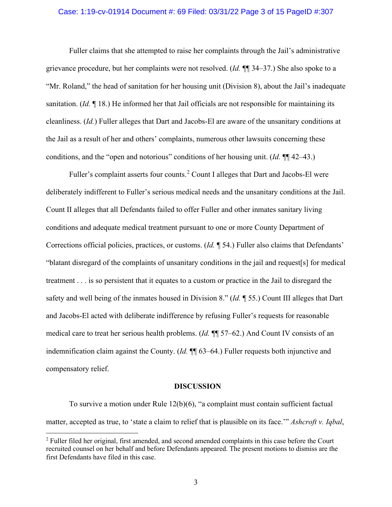# Case: 1:19-cv-01914 Document #: 69 Filed: 03/31/22 Page 3 of 15 PageID #:307

Fuller claims that she attempted to raise her complaints through the Jail's administrative grievance procedure, but her complaints were not resolved. (*Id.* ¶¶ 34–37.) She also spoke to a "Mr. Roland," the head of sanitation for her housing unit (Division 8), about the Jail's inadequate sanitation. (*Id.* ¶ 18.) He informed her that Jail officials are not responsible for maintaining its cleanliness. (*Id.*) Fuller alleges that Dart and Jacobs-El are aware of the unsanitary conditions at the Jail as a result of her and others' complaints, numerous other lawsuits concerning these conditions, and the "open and notorious" conditions of her housing unit. (*Id.* ¶¶ 42–43.)

Fuller's complaint asserts four counts.<sup>[2](#page-2-0)</sup> Count I alleges that Dart and Jacobs-El were deliberately indifferent to Fuller's serious medical needs and the unsanitary conditions at the Jail. Count II alleges that all Defendants failed to offer Fuller and other inmates sanitary living conditions and adequate medical treatment pursuant to one or more County Department of Corrections official policies, practices, or customs. (*Id.* ¶ 54.) Fuller also claims that Defendants' "blatant disregard of the complaints of unsanitary conditions in the jail and request[s] for medical treatment . . . is so persistent that it equates to a custom or practice in the Jail to disregard the safety and well being of the inmates housed in Division 8." (*Id.* ¶ 55.) Count III alleges that Dart and Jacobs-El acted with deliberate indifference by refusing Fuller's requests for reasonable medical care to treat her serious health problems. (*Id.* ¶¶ 57–62.) And Count IV consists of an indemnification claim against the County. (*Id.* ¶¶ 63–64.) Fuller requests both injunctive and compensatory relief.

#### **DISCUSSION**

To survive a motion under Rule 12(b)(6), "a complaint must contain sufficient factual matter, accepted as true, to 'state a claim to relief that is plausible on its face.'" *Ashcroft v. Iqbal*,

<span id="page-2-0"></span><sup>2</sup> Fuller filed her original, first amended, and second amended complaints in this case before the Court recruited counsel on her behalf and before Defendants appeared. The present motions to dismiss are the first Defendants have filed in this case.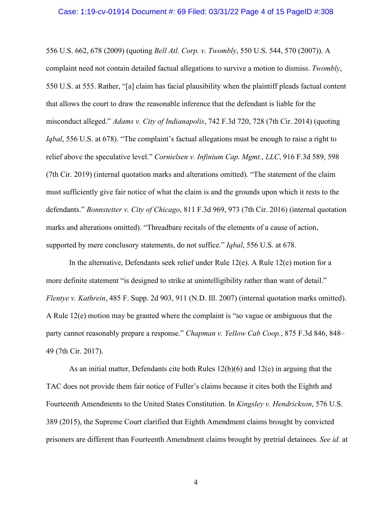#### Case: 1:19-cv-01914 Document #: 69 Filed: 03/31/22 Page 4 of 15 PageID #:308

556 U.S. 662, 678 (2009) (quoting *Bell Atl. Corp. v. Twombly*, 550 U.S. 544, 570 (2007)). A complaint need not contain detailed factual allegations to survive a motion to dismiss. *Twombly*, 550 U.S. at 555. Rather, "[a] claim has facial plausibility when the plaintiff pleads factual content that allows the court to draw the reasonable inference that the defendant is liable for the misconduct alleged." *Adams v. City of Indianapolis*, 742 F.3d 720, 728 (7th Cir. 2014) (quoting *Iqbal*, 556 U.S. at 678). "The complaint's factual allegations must be enough to raise a right to relief above the speculative level." *Cornielsen v. Infinium Cap. Mgmt., LLC*, 916 F.3d 589, 598 (7th Cir. 2019) (internal quotation marks and alterations omitted). "The statement of the claim must sufficiently give fair notice of what the claim is and the grounds upon which it rests to the defendants." *Bonnstetter v. City of Chicago*, 811 F.3d 969, 973 (7th Cir. 2016) (internal quotation marks and alterations omitted). "Threadbare recitals of the elements of a cause of action, supported by mere conclusory statements, do not suffice." *Iqbal*, 556 U.S. at 678.

In the alternative, Defendants seek relief under Rule  $12(e)$ . A Rule  $12(e)$  motion for a more definite statement "is designed to strike at unintelligibility rather than want of detail." *Flentye v. Kathrein*, 485 F. Supp. 2d 903, 911 (N.D. Ill. 2007) (internal quotation marks omitted). A Rule 12(e) motion may be granted where the complaint is "so vague or ambiguous that the party cannot reasonably prepare a response." *Chapman v. Yellow Cab Coop.*, 875 F.3d 846, 848– 49 (7th Cir. 2017).

As an initial matter, Defendants cite both Rules 12(b)(6) and 12(e) in arguing that the TAC does not provide them fair notice of Fuller's claims because it cites both the Eighth and Fourteenth Amendments to the United States Constitution. In *Kingsley v. Hendrickson*, 576 U.S. 389 (2015), the Supreme Court clarified that Eighth Amendment claims brought by convicted prisoners are different than Fourteenth Amendment claims brought by pretrial detainees. *See id.* at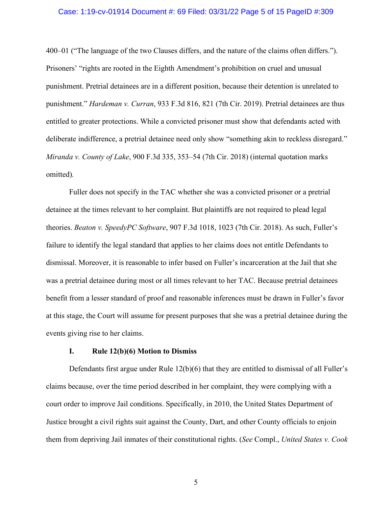### Case: 1:19-cv-01914 Document #: 69 Filed: 03/31/22 Page 5 of 15 PageID #:309

400–01 ("The language of the two Clauses differs, and the nature of the claims often differs."). Prisoners' "rights are rooted in the Eighth Amendment's prohibition on cruel and unusual punishment. Pretrial detainees are in a different position, because their detention is unrelated to punishment." *Hardeman v. Curran*, 933 F.3d 816, 821 (7th Cir. 2019). Pretrial detainees are thus entitled to greater protections. While a convicted prisoner must show that defendants acted with deliberate indifference, a pretrial detainee need only show "something akin to reckless disregard." *Miranda v. County of Lake*, 900 F.3d 335, 353–54 (7th Cir. 2018) (internal quotation marks omitted)*.*

Fuller does not specify in the TAC whether she was a convicted prisoner or a pretrial detainee at the times relevant to her complaint. But plaintiffs are not required to plead legal theories. *Beaton v. SpeedyPC Software*, 907 F.3d 1018, 1023 (7th Cir. 2018). As such, Fuller's failure to identify the legal standard that applies to her claims does not entitle Defendants to dismissal. Moreover, it is reasonable to infer based on Fuller's incarceration at the Jail that she was a pretrial detainee during most or all times relevant to her TAC. Because pretrial detainees benefit from a lesser standard of proof and reasonable inferences must be drawn in Fuller's favor at this stage, the Court will assume for present purposes that she was a pretrial detainee during the events giving rise to her claims.

# **I. Rule 12(b)(6) Motion to Dismiss**

Defendants first argue under Rule 12(b)(6) that they are entitled to dismissal of all Fuller's claims because, over the time period described in her complaint, they were complying with a court order to improve Jail conditions. Specifically, in 2010, the United States Department of Justice brought a civil rights suit against the County, Dart, and other County officials to enjoin them from depriving Jail inmates of their constitutional rights. (*See* Compl., *United States v. Cook*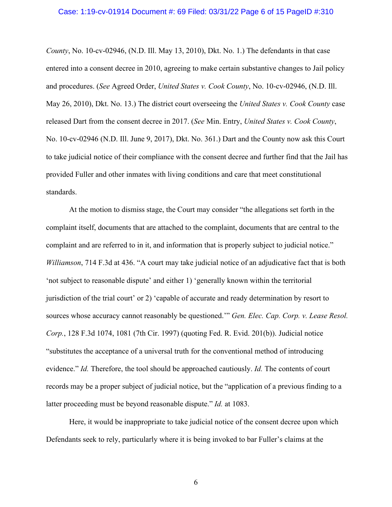### Case: 1:19-cv-01914 Document #: 69 Filed: 03/31/22 Page 6 of 15 PageID #:310

*County*, No. 10-cv-02946, (N.D. Ill. May 13, 2010), Dkt. No. 1.) The defendants in that case entered into a consent decree in 2010, agreeing to make certain substantive changes to Jail policy and procedures. (*See* Agreed Order, *United States v. Cook County*, No. 10-cv-02946, (N.D. Ill. May 26, 2010), Dkt. No. 13.) The district court overseeing the *United States v. Cook County* case released Dart from the consent decree in 2017. (*See* Min. Entry, *United States v. Cook County*, No. 10-cv-02946 (N.D. Ill. June 9, 2017), Dkt. No. 361.) Dart and the County now ask this Court to take judicial notice of their compliance with the consent decree and further find that the Jail has provided Fuller and other inmates with living conditions and care that meet constitutional standards.

At the motion to dismiss stage, the Court may consider "the allegations set forth in the complaint itself, documents that are attached to the complaint, documents that are central to the complaint and are referred to in it, and information that is properly subject to judicial notice." *Williamson*, 714 F.3d at 436. "A court may take judicial notice of an adjudicative fact that is both 'not subject to reasonable dispute' and either 1) 'generally known within the territorial jurisdiction of the trial court' or 2) 'capable of accurate and ready determination by resort to sources whose accuracy cannot reasonably be questioned.'" *Gen. Elec. Cap. Corp. v. Lease Resol. Corp.*, 128 F.3d 1074, 1081 (7th Cir. 1997) (quoting Fed. R. Evid. 201(b)). Judicial notice "substitutes the acceptance of a universal truth for the conventional method of introducing evidence." *Id.* Therefore, the tool should be approached cautiously. *Id.* The contents of court records may be a proper subject of judicial notice, but the "application of a previous finding to a latter proceeding must be beyond reasonable dispute." *Id.* at 1083.

Here, it would be inappropriate to take judicial notice of the consent decree upon which Defendants seek to rely, particularly where it is being invoked to bar Fuller's claims at the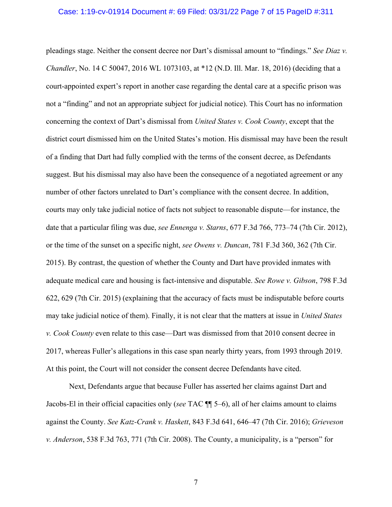#### Case: 1:19-cv-01914 Document #: 69 Filed: 03/31/22 Page 7 of 15 PageID #:311

pleadings stage. Neither the consent decree nor Dart's dismissal amount to "findings." *See Diaz v. Chandler*, No. 14 C 50047, 2016 WL 1073103, at \*12 (N.D. Ill. Mar. 18, 2016) (deciding that a court-appointed expert's report in another case regarding the dental care at a specific prison was not a "finding" and not an appropriate subject for judicial notice). This Court has no information concerning the context of Dart's dismissal from *United States v. Cook County*, except that the district court dismissed him on the United States's motion. His dismissal may have been the result of a finding that Dart had fully complied with the terms of the consent decree, as Defendants suggest. But his dismissal may also have been the consequence of a negotiated agreement or any number of other factors unrelated to Dart's compliance with the consent decree. In addition, courts may only take judicial notice of facts not subject to reasonable dispute—for instance, the date that a particular filing was due, *see Ennenga v. Starns*, 677 F.3d 766, 773–74 (7th Cir. 2012), or the time of the sunset on a specific night, *see Owens v. Duncan*, 781 F.3d 360, 362 (7th Cir. 2015). By contrast, the question of whether the County and Dart have provided inmates with adequate medical care and housing is fact-intensive and disputable. *See Rowe v. Gibson*, 798 F.3d 622, 629 (7th Cir. 2015) (explaining that the accuracy of facts must be indisputable before courts may take judicial notice of them). Finally, it is not clear that the matters at issue in *United States v. Cook County* even relate to this case—Dart was dismissed from that 2010 consent decree in 2017, whereas Fuller's allegations in this case span nearly thirty years, from 1993 through 2019. At this point, the Court will not consider the consent decree Defendants have cited.

Next, Defendants argue that because Fuller has asserted her claims against Dart and Jacobs-El in their official capacities only (*see* TAC ¶¶ 5–6), all of her claims amount to claims against the County. *See Katz-Crank v. Haskett*, 843 F.3d 641, 646–47 (7th Cir. 2016); *Grieveson v. Anderson*, 538 F.3d 763, 771 (7th Cir. 2008). The County, a municipality, is a "person" for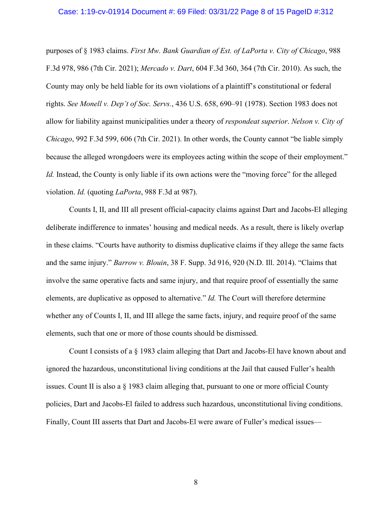#### Case: 1:19-cv-01914 Document #: 69 Filed: 03/31/22 Page 8 of 15 PageID #:312

purposes of § 1983 claims. *First Mw. Bank Guardian of Est. of LaPorta v. City of Chicago*, 988 F.3d 978, 986 (7th Cir. 2021); *Mercado v. Dart*, 604 F.3d 360, 364 (7th Cir. 2010). As such, the County may only be held liable for its own violations of a plaintiff's constitutional or federal rights. *See Monell v. Dep't of Soc. Servs.*, 436 U.S. 658, 690–91 (1978). Section 1983 does not allow for liability against municipalities under a theory of *respondeat superior*. *Nelson v. City of Chicago*, 992 F.3d 599, 606 (7th Cir. 2021). In other words, the County cannot "be liable simply because the alleged wrongdoers were its employees acting within the scope of their employment." *Id.* Instead, the County is only liable if its own actions were the "moving force" for the alleged violation. *Id.* (quoting *LaPorta*, 988 F.3d at 987).

Counts I, II, and III all present official-capacity claims against Dart and Jacobs-El alleging deliberate indifference to inmates' housing and medical needs. As a result, there is likely overlap in these claims. "Courts have authority to dismiss duplicative claims if they allege the same facts and the same injury." *Barrow v. Blouin*, 38 F. Supp. 3d 916, 920 (N.D. Ill. 2014). "Claims that involve the same operative facts and same injury, and that require proof of essentially the same elements, are duplicative as opposed to alternative." *Id.* The Court will therefore determine whether any of Counts I, II, and III allege the same facts, injury, and require proof of the same elements, such that one or more of those counts should be dismissed.

Count I consists of a § 1983 claim alleging that Dart and Jacobs-El have known about and ignored the hazardous, unconstitutional living conditions at the Jail that caused Fuller's health issues. Count II is also a § 1983 claim alleging that, pursuant to one or more official County policies, Dart and Jacobs-El failed to address such hazardous, unconstitutional living conditions. Finally, Count III asserts that Dart and Jacobs-El were aware of Fuller's medical issues—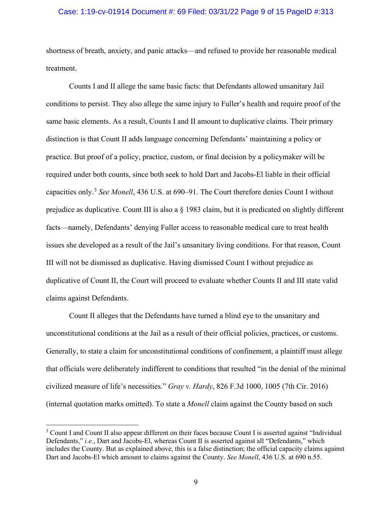# Case: 1:19-cv-01914 Document #: 69 Filed: 03/31/22 Page 9 of 15 PageID #:313

shortness of breath, anxiety, and panic attacks—and refused to provide her reasonable medical treatment.

Counts I and II allege the same basic facts: that Defendants allowed unsanitary Jail conditions to persist. They also allege the same injury to Fuller's health and require proof of the same basic elements. As a result, Counts I and II amount to duplicative claims. Their primary distinction is that Count II adds language concerning Defendants' maintaining a policy or practice. But proof of a policy, practice, custom, or final decision by a policymaker will be required under both counts, since both seek to hold Dart and Jacobs-El liable in their official capacities only.[3](#page-8-0) *See Monell*, 436 U.S. at 690–91. The Court therefore denies Count I without prejudice as duplicative. Count III is also a § 1983 claim, but it is predicated on slightly different facts—namely, Defendants' denying Fuller access to reasonable medical care to treat health issues she developed as a result of the Jail's unsanitary living conditions. For that reason, Count III will not be dismissed as duplicative. Having dismissed Count I without prejudice as duplicative of Count II, the Court will proceed to evaluate whether Counts II and III state valid claims against Defendants.

Count II alleges that the Defendants have turned a blind eye to the unsanitary and unconstitutional conditions at the Jail as a result of their official policies, practices, or customs. Generally, to state a claim for unconstitutional conditions of confinement, a plaintiff must allege that officials were deliberately indifferent to conditions that resulted "in the denial of the minimal civilized measure of life's necessities." *Gray v. Hardy*, 826 F.3d 1000, 1005 (7th Cir. 2016) (internal quotation marks omitted). To state a *Monell* claim against the County based on such

<span id="page-8-0"></span><sup>&</sup>lt;sup>3</sup> Count I and Count II also appear different on their faces because Count I is asserted against "Individual" Defendants," *i.e.*, Dart and Jacobs-El, whereas Count II is asserted against all "Defendants," which includes the County. But as explained above, this is a false distinction; the official capacity claims against Dart and Jacobs-El which amount to claims against the County. *See Monell*, 436 U.S. at 690 n.55.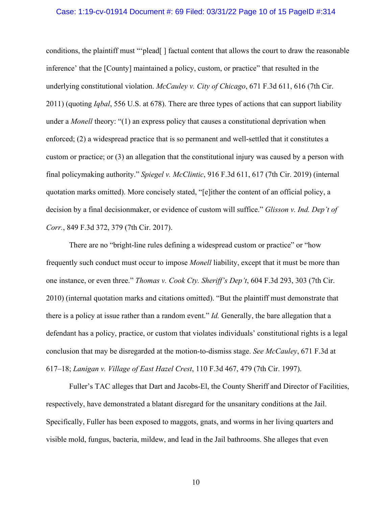### Case: 1:19-cv-01914 Document #: 69 Filed: 03/31/22 Page 10 of 15 PageID #:314

conditions, the plaintiff must "'plead[ ] factual content that allows the court to draw the reasonable inference' that the [County] maintained a policy, custom, or practice" that resulted in the underlying constitutional violation. *McCauley v. City of Chicago*, 671 F.3d 611, 616 (7th Cir. 2011) (quoting *Iqbal*, 556 U.S. at 678). There are three types of actions that can support liability under a *Monell* theory: "(1) an express policy that causes a constitutional deprivation when enforced; (2) a widespread practice that is so permanent and well-settled that it constitutes a custom or practice; or (3) an allegation that the constitutional injury was caused by a person with final policymaking authority." *Spiegel v. McClintic*, 916 F.3d 611, 617 (7th Cir. 2019) (internal quotation marks omitted). More concisely stated, "[e]ither the content of an official policy, a decision by a final decisionmaker, or evidence of custom will suffice." *Glisson v. Ind. Dep't of Corr.*, 849 F.3d 372, 379 (7th Cir. 2017).

There are no "bright-line rules defining a widespread custom or practice" or "how frequently such conduct must occur to impose *Monell* liability, except that it must be more than one instance, or even three." *Thomas v. Cook Cty. Sheriff's Dep't*, 604 F.3d 293, 303 (7th Cir. 2010) (internal quotation marks and citations omitted). "But the plaintiff must demonstrate that there is a policy at issue rather than a random event." *Id.* Generally, the bare allegation that a defendant has a policy, practice, or custom that violates individuals' constitutional rights is a legal conclusion that may be disregarded at the motion-to-dismiss stage. *See McCauley*, 671 F.3d at 617–18; *Lanigan v. Village of East Hazel Crest*, 110 F.3d 467, 479 (7th Cir. 1997).

Fuller's TAC alleges that Dart and Jacobs-El, the County Sheriff and Director of Facilities, respectively, have demonstrated a blatant disregard for the unsanitary conditions at the Jail. Specifically, Fuller has been exposed to maggots, gnats, and worms in her living quarters and visible mold, fungus, bacteria, mildew, and lead in the Jail bathrooms. She alleges that even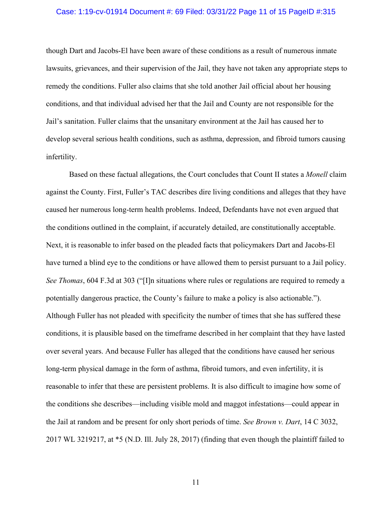# Case: 1:19-cv-01914 Document #: 69 Filed: 03/31/22 Page 11 of 15 PageID #:315

though Dart and Jacobs-El have been aware of these conditions as a result of numerous inmate lawsuits, grievances, and their supervision of the Jail, they have not taken any appropriate steps to remedy the conditions. Fuller also claims that she told another Jail official about her housing conditions, and that individual advised her that the Jail and County are not responsible for the Jail's sanitation. Fuller claims that the unsanitary environment at the Jail has caused her to develop several serious health conditions, such as asthma, depression, and fibroid tumors causing infertility.

Based on these factual allegations, the Court concludes that Count II states a *Monell* claim against the County. First, Fuller's TAC describes dire living conditions and alleges that they have caused her numerous long-term health problems. Indeed, Defendants have not even argued that the conditions outlined in the complaint, if accurately detailed, are constitutionally acceptable. Next, it is reasonable to infer based on the pleaded facts that policymakers Dart and Jacobs-El have turned a blind eye to the conditions or have allowed them to persist pursuant to a Jail policy. *See Thomas*, 604 F.3d at 303 ("[I]n situations where rules or regulations are required to remedy a potentially dangerous practice, the County's failure to make a policy is also actionable."). Although Fuller has not pleaded with specificity the number of times that she has suffered these conditions, it is plausible based on the timeframe described in her complaint that they have lasted over several years. And because Fuller has alleged that the conditions have caused her serious long-term physical damage in the form of asthma, fibroid tumors, and even infertility, it is reasonable to infer that these are persistent problems. It is also difficult to imagine how some of the conditions she describes—including visible mold and maggot infestations—could appear in the Jail at random and be present for only short periods of time. *See Brown v. Dart*, 14 C 3032, 2017 WL 3219217, at \*5 (N.D. Ill. July 28, 2017) (finding that even though the plaintiff failed to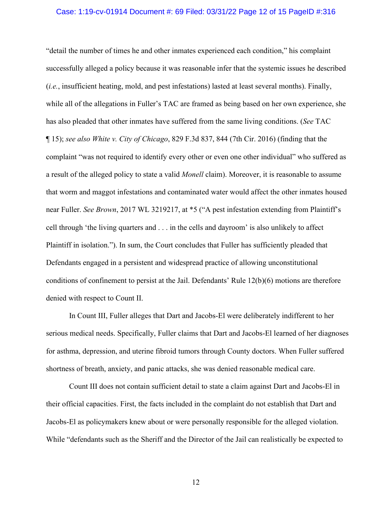### Case: 1:19-cv-01914 Document #: 69 Filed: 03/31/22 Page 12 of 15 PageID #:316

"detail the number of times he and other inmates experienced each condition," his complaint successfully alleged a policy because it was reasonable infer that the systemic issues he described (*i.e.*, insufficient heating, mold, and pest infestations) lasted at least several months). Finally, while all of the allegations in Fuller's TAC are framed as being based on her own experience, she has also pleaded that other inmates have suffered from the same living conditions. (*See* TAC ¶ 15); *see also White v. City of Chicago*, 829 F.3d 837, 844 (7th Cir. 2016) (finding that the complaint "was not required to identify every other or even one other individual" who suffered as a result of the alleged policy to state a valid *Monell* claim). Moreover, it is reasonable to assume that worm and maggot infestations and contaminated water would affect the other inmates housed near Fuller. *See Brown*, 2017 WL 3219217, at \*5 ("A pest infestation extending from Plaintiff's cell through 'the living quarters and . . . in the cells and dayroom' is also unlikely to affect Plaintiff in isolation."). In sum, the Court concludes that Fuller has sufficiently pleaded that Defendants engaged in a persistent and widespread practice of allowing unconstitutional conditions of confinement to persist at the Jail. Defendants' Rule 12(b)(6) motions are therefore denied with respect to Count II.

In Count III, Fuller alleges that Dart and Jacobs-El were deliberately indifferent to her serious medical needs. Specifically, Fuller claims that Dart and Jacobs-El learned of her diagnoses for asthma, depression, and uterine fibroid tumors through County doctors. When Fuller suffered shortness of breath, anxiety, and panic attacks, she was denied reasonable medical care.

Count III does not contain sufficient detail to state a claim against Dart and Jacobs-El in their official capacities. First, the facts included in the complaint do not establish that Dart and Jacobs-El as policymakers knew about or were personally responsible for the alleged violation. While "defendants such as the Sheriff and the Director of the Jail can realistically be expected to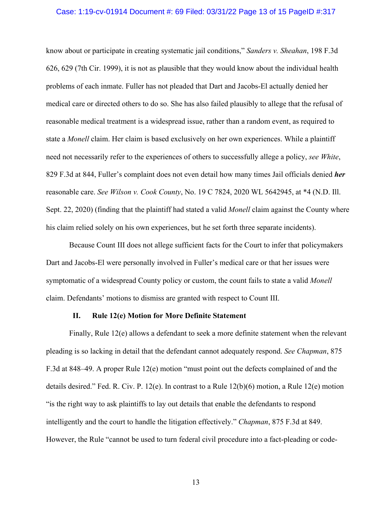# Case: 1:19-cv-01914 Document #: 69 Filed: 03/31/22 Page 13 of 15 PageID #:317

know about or participate in creating systematic jail conditions," *Sanders v. Sheahan*, 198 F.3d 626, 629 (7th Cir. 1999), it is not as plausible that they would know about the individual health problems of each inmate. Fuller has not pleaded that Dart and Jacobs-El actually denied her medical care or directed others to do so. She has also failed plausibly to allege that the refusal of reasonable medical treatment is a widespread issue, rather than a random event, as required to state a *Monell* claim. Her claim is based exclusively on her own experiences. While a plaintiff need not necessarily refer to the experiences of others to successfully allege a policy, *see White*, 829 F.3d at 844, Fuller's complaint does not even detail how many times Jail officials denied *her* reasonable care. *See Wilson v. Cook County*, No. 19 C 7824, 2020 WL 5642945, at \*4 (N.D. Ill. Sept. 22, 2020) (finding that the plaintiff had stated a valid *Monell* claim against the County where his claim relied solely on his own experiences, but he set forth three separate incidents).

Because Count III does not allege sufficient facts for the Court to infer that policymakers Dart and Jacobs-El were personally involved in Fuller's medical care or that her issues were symptomatic of a widespread County policy or custom, the count fails to state a valid *Monell* claim. Defendants' motions to dismiss are granted with respect to Count III.

#### **II. Rule 12(e) Motion for More Definite Statement**

Finally, Rule 12(e) allows a defendant to seek a more definite statement when the relevant pleading is so lacking in detail that the defendant cannot adequately respond. *See Chapman*, 875 F.3d at 848–49. A proper Rule 12(e) motion "must point out the defects complained of and the details desired." Fed. R. Civ. P. 12(e). In contrast to a Rule 12(b)(6) motion, a Rule 12(e) motion "is the right way to ask plaintiffs to lay out details that enable the defendants to respond intelligently and the court to handle the litigation effectively." *Chapman*, 875 F.3d at 849. However, the Rule "cannot be used to turn federal civil procedure into a fact-pleading or code-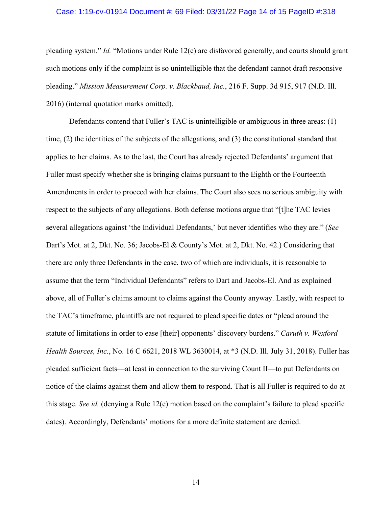# Case: 1:19-cv-01914 Document #: 69 Filed: 03/31/22 Page 14 of 15 PageID #:318

pleading system." *Id.* "Motions under Rule 12(e) are disfavored generally, and courts should grant such motions only if the complaint is so unintelligible that the defendant cannot draft responsive pleading." *Mission Measurement Corp. v. Blackbaud, Inc.*, 216 F. Supp. 3d 915, 917 (N.D. Ill. 2016) (internal quotation marks omitted).

Defendants contend that Fuller's TAC is unintelligible or ambiguous in three areas: (1) time, (2) the identities of the subjects of the allegations, and (3) the constitutional standard that applies to her claims. As to the last, the Court has already rejected Defendants' argument that Fuller must specify whether she is bringing claims pursuant to the Eighth or the Fourteenth Amendments in order to proceed with her claims. The Court also sees no serious ambiguity with respect to the subjects of any allegations. Both defense motions argue that "[t]he TAC levies several allegations against 'the Individual Defendants,' but never identifies who they are." (*See* Dart's Mot. at 2, Dkt. No. 36; Jacobs-El & County's Mot. at 2, Dkt. No. 42.) Considering that there are only three Defendants in the case, two of which are individuals, it is reasonable to assume that the term "Individual Defendants" refers to Dart and Jacobs-El. And as explained above, all of Fuller's claims amount to claims against the County anyway. Lastly, with respect to the TAC's timeframe, plaintiffs are not required to plead specific dates or "plead around the statute of limitations in order to ease [their] opponents' discovery burdens." *Caruth v. Wexford Health Sources, Inc.*, No. 16 C 6621, 2018 WL 3630014, at \*3 (N.D. Ill. July 31, 2018). Fuller has pleaded sufficient facts—at least in connection to the surviving Count II—to put Defendants on notice of the claims against them and allow them to respond. That is all Fuller is required to do at this stage. *See id.* (denying a Rule 12(e) motion based on the complaint's failure to plead specific dates). Accordingly, Defendants' motions for a more definite statement are denied.